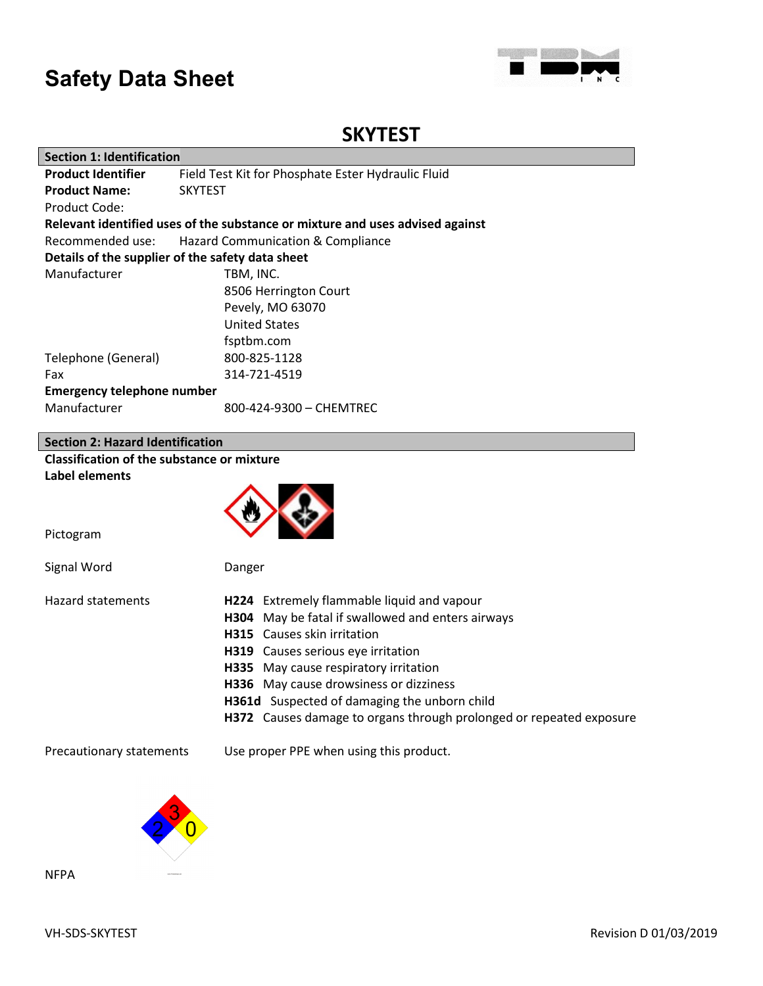

## **SKYTEST**

| <b>Section 1: Identification</b>                      |                                                                               |  |  |  |
|-------------------------------------------------------|-------------------------------------------------------------------------------|--|--|--|
| <b>Product Identifier</b>                             | Field Test Kit for Phosphate Ester Hydraulic Fluid                            |  |  |  |
| <b>Product Name:</b>                                  | <b>SKYTEST</b>                                                                |  |  |  |
| Product Code:                                         |                                                                               |  |  |  |
|                                                       | Relevant identified uses of the substance or mixture and uses advised against |  |  |  |
| Recommended use:<br>Hazard Communication & Compliance |                                                                               |  |  |  |
| Details of the supplier of the safety data sheet      |                                                                               |  |  |  |
| Manufacturer                                          | TBM, INC.                                                                     |  |  |  |
|                                                       | 8506 Herrington Court                                                         |  |  |  |
|                                                       | Pevely, MO 63070                                                              |  |  |  |
|                                                       | <b>United States</b>                                                          |  |  |  |
|                                                       | fsptbm.com                                                                    |  |  |  |
| Telephone (General)                                   | 800-825-1128                                                                  |  |  |  |
| Fax                                                   | 314-721-4519                                                                  |  |  |  |
| <b>Emergency telephone number</b>                     |                                                                               |  |  |  |
| Manufacturer                                          | 800-424-9300 - CHEMTREC                                                       |  |  |  |
|                                                       |                                                                               |  |  |  |
| <b>Section 2: Hazard Identification</b>               |                                                                               |  |  |  |
| <b>Classification of the substance or mixture</b>     |                                                                               |  |  |  |
| Label elements                                        |                                                                               |  |  |  |
|                                                       |                                                                               |  |  |  |
|                                                       |                                                                               |  |  |  |
| Pictogram                                             |                                                                               |  |  |  |
|                                                       |                                                                               |  |  |  |
| Signal Word                                           | Danger                                                                        |  |  |  |
|                                                       |                                                                               |  |  |  |
| <b>Hazard statements</b>                              | H224 Extremely flammable liquid and vapour                                    |  |  |  |
|                                                       | H304 May be fatal if swallowed and enters airways                             |  |  |  |
|                                                       | H315 Causes skin irritation                                                   |  |  |  |
|                                                       | H319 Causes serious eye irritation                                            |  |  |  |
|                                                       | H335 May cause respiratory irritation                                         |  |  |  |
|                                                       | H336 May cause drowsiness or dizziness                                        |  |  |  |
|                                                       | H361d Suspected of damaging the unborn child                                  |  |  |  |
|                                                       | H372 Causes damage to organs through prolonged or repeated exposure           |  |  |  |
|                                                       |                                                                               |  |  |  |
| Precautionary statements                              | Use proper PPE when using this product.                                       |  |  |  |
|                                                       |                                                                               |  |  |  |
|                                                       |                                                                               |  |  |  |



NFPA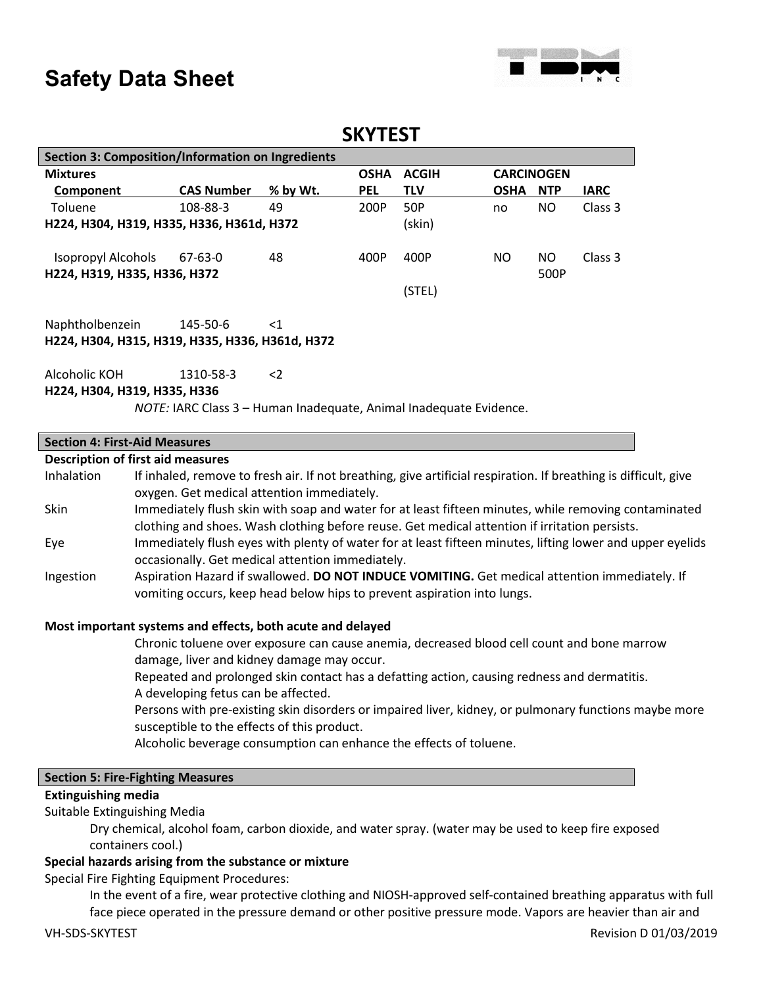

### **SKYTEST**

| <b>Section 3: Composition/Information on Ingredients</b> |                   |          |             |              |                   |            |             |
|----------------------------------------------------------|-------------------|----------|-------------|--------------|-------------------|------------|-------------|
| <b>Mixtures</b>                                          |                   |          | <b>OSHA</b> | <b>ACGIH</b> | <b>CARCINOGEN</b> |            |             |
| Component                                                | <b>CAS Number</b> | % by Wt. | <b>PEL</b>  | <b>TLV</b>   | <b>OSHA</b>       | <b>NTP</b> | <b>IARC</b> |
| Toluene                                                  | 108-88-3          | 49       | 200P        | 50P          | no                | NO         | Class 3     |
| H224, H304, H319, H335, H336, H361d, H372                |                   |          |             | (skin)       |                   |            |             |
| Isopropyl Alcohols<br>H224, H319, H335, H336, H372       | 67-63-0           | 48       | 400P        | 400P         | NO.               | NO<br>500P | Class 3     |
|                                                          |                   |          |             | (STEL)       |                   |            |             |

Naphtholbenzein 145-50-6 <1 **H224, H304, H315, H319, H335, H336, H361d, H372**

Alcoholic KOH 1310-58-3 <2

#### **H224, H304, H319, H335, H336**

*NOTE:* IARC Class 3 – Human Inadequate, Animal Inadequate Evidence.

#### **Section 4: First-Aid Measures**

#### **Description of first aid measures**

| If inhaled, remove to fresh air. If not breathing, give artificial respiration. If breathing is difficult, give                                                          |
|--------------------------------------------------------------------------------------------------------------------------------------------------------------------------|
| oxygen. Get medical attention immediately.                                                                                                                               |
| Immediately flush skin with soap and water for at least fifteen minutes, while removing contaminated                                                                     |
| clothing and shoes. Wash clothing before reuse. Get medical attention if irritation persists.                                                                            |
| Immediately flush eyes with plenty of water for at least fifteen minutes, lifting lower and upper eyelids                                                                |
| occasionally. Get medical attention immediately.                                                                                                                         |
| Aspiration Hazard if swallowed. DO NOT INDUCE VOMITING. Get medical attention immediately. If<br>vomiting occurs, keep head below hips to prevent aspiration into lungs. |
|                                                                                                                                                                          |

#### **Most important systems and effects, both acute and delayed**

Chronic toluene over exposure can cause anemia, decreased blood cell count and bone marrow damage, liver and kidney damage may occur.

Repeated and prolonged skin contact has a defatting action, causing redness and dermatitis. A developing fetus can be affected.

Persons with pre-existing skin disorders or impaired liver, kidney, or pulmonary functions maybe more susceptible to the effects of this product.

Alcoholic beverage consumption can enhance the effects of toluene.

#### **Section 5: Fire-Fighting Measures**

#### **Extinguishing media**

#### Suitable Extinguishing Media

Dry chemical, alcohol foam, carbon dioxide, and water spray. (water may be used to keep fire exposed containers cool.)

#### **Special hazards arising from the substance or mixture**

#### Special Fire Fighting Equipment Procedures:

In the event of a fire, wear protective clothing and NIOSH-approved self-contained breathing apparatus with full face piece operated in the pressure demand or other positive pressure mode. Vapors are heavier than air and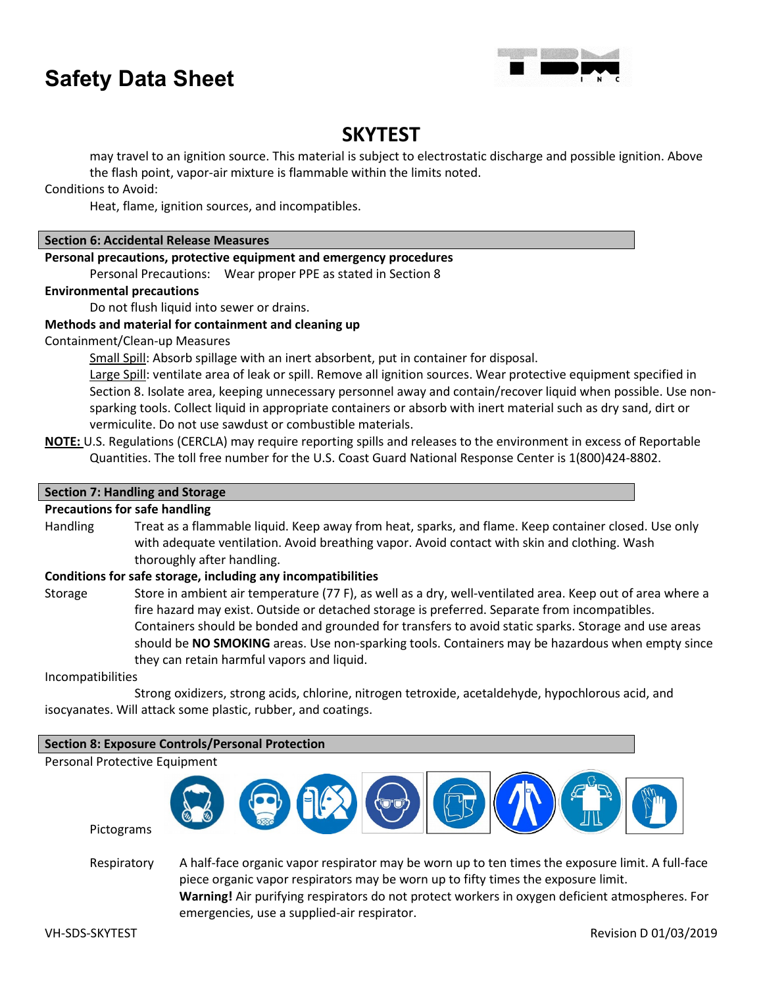

## **SKYTEST**

may travel to an ignition source. This material is subject to electrostatic discharge and possible ignition. Above the flash point, vapor-air mixture is flammable within the limits noted.

Conditions to Avoid:

Heat, flame, ignition sources, and incompatibles.

#### **Section 6: Accidental Release Measures**

#### **Personal precautions, protective equipment and emergency procedures**

Personal Precautions: Wear proper PPE as stated in Section 8

#### **Environmental precautions**

Do not flush liquid into sewer or drains.

#### **Methods and material for containment and cleaning up**

Containment/Clean-up Measures

Small Spill: Absorb spillage with an inert absorbent, put in container for disposal.

Large Spill: ventilate area of leak or spill. Remove all ignition sources. Wear protective equipment specified in Section 8. Isolate area, keeping unnecessary personnel away and contain/recover liquid when possible. Use nonsparking tools. Collect liquid in appropriate containers or absorb with inert material such as dry sand, dirt or vermiculite. Do not use sawdust or combustible materials.

**NOTE:** U.S. Regulations (CERCLA) may require reporting spills and releases to the environment in excess of Reportable Quantities. The toll free number for the U.S. Coast Guard National Response Center is 1(800)424-8802.

#### **Section 7: Handling and Storage**

#### **Precautions for safe handling**

Handling Treat as a flammable liquid. Keep away from heat, sparks, and flame. Keep container closed. Use only with adequate ventilation. Avoid breathing vapor. Avoid contact with skin and clothing. Wash thoroughly after handling.

#### **Conditions for safe storage, including any incompatibilities**

Storage Store in ambient air temperature (77 F), as well as a dry, well-ventilated area. Keep out of area where a fire hazard may exist. Outside or detached storage is preferred. Separate from incompatibles. Containers should be bonded and grounded for transfers to avoid static sparks. Storage and use areas should be **NO SMOKING** areas. Use non-sparking tools. Containers may be hazardous when empty since they can retain harmful vapors and liquid.

#### Incompatibilities

Strong oxidizers, strong acids, chlorine, nitrogen tetroxide, acetaldehyde, hypochlorous acid, and isocyanates. Will attack some plastic, rubber, and coatings.

#### **Section 8: Exposure Controls/Personal Protection**

Personal Protective Equipment



Respiratory A half-face organic vapor respirator may be worn up to ten times the exposure limit. A full-face piece organic vapor respirators may be worn up to fifty times the exposure limit. **Warning!** Air purifying respirators do not protect workers in oxygen deficient atmospheres. For emergencies, use a supplied-air respirator.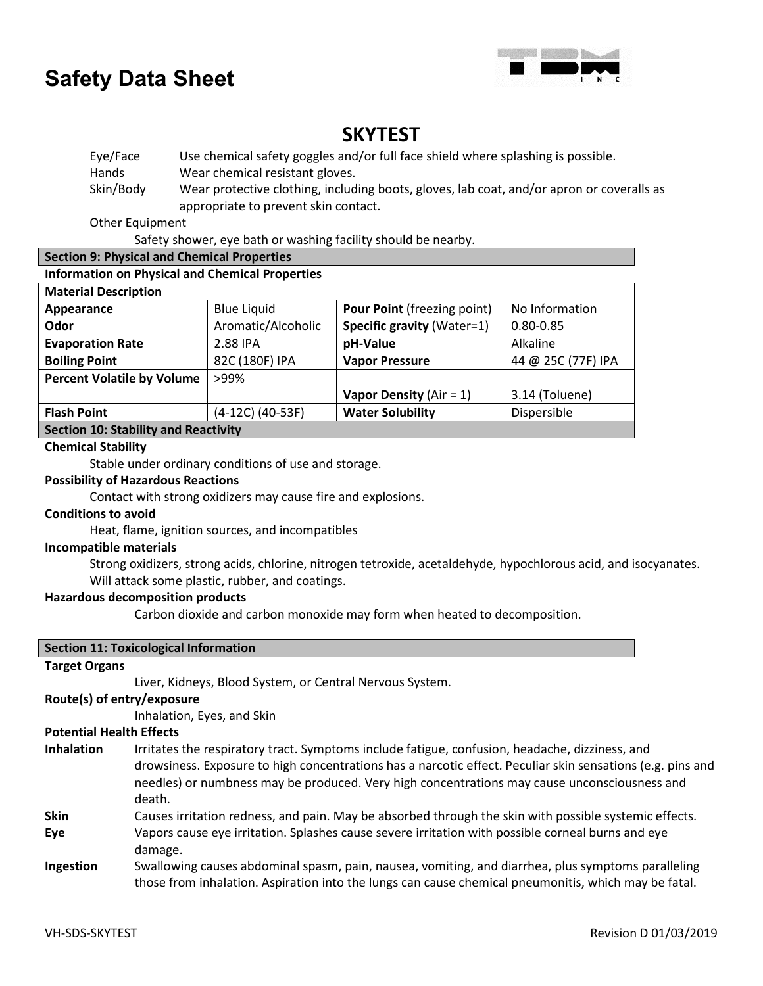

### **SKYTEST**

Eye/Face Use chemical safety goggles and/or full face shield where splashing is possible. Hands Wear chemical resistant gloves. Skin/Body Wear protective clothing, including boots, gloves, lab coat, and/or apron or coveralls as appropriate to prevent skin contact.

Other Equipment

Safety shower, eye bath or washing facility should be nearby.

#### **Section 9: Physical and Chemical Properties**

#### **Information on Physical and Chemical Properties**

| <b>Material Description</b>                 |                    |                                    |                    |  |
|---------------------------------------------|--------------------|------------------------------------|--------------------|--|
| Appearance                                  | <b>Blue Liquid</b> | <b>Pour Point (freezing point)</b> | No Information     |  |
| Odor                                        | Aromatic/Alcoholic | Specific gravity (Water=1)         | $0.80 - 0.85$      |  |
| <b>Evaporation Rate</b>                     | 2.88 IPA           | pH-Value                           | Alkaline           |  |
| <b>Boiling Point</b>                        | 82C (180F) IPA     | <b>Vapor Pressure</b>              | 44 @ 25C (77F) IPA |  |
| <b>Percent Volatile by Volume</b>           | >99%               |                                    |                    |  |
|                                             |                    | Vapor Density ( $Air = 1$ )        | 3.14 (Toluene)     |  |
| <b>Flash Point</b>                          | (4-12C) (40-53F)   | <b>Water Solubility</b>            | Dispersible        |  |
| <b>Section 10: Stability and Reactivity</b> |                    |                                    |                    |  |

#### **Chemical Stability**

Stable under ordinary conditions of use and storage.

#### **Possibility of Hazardous Reactions**

Contact with strong oxidizers may cause fire and explosions.

#### **Conditions to avoid**

Heat, flame, ignition sources, and incompatibles

#### **Incompatible materials**

Strong oxidizers, strong acids, chlorine, nitrogen tetroxide, acetaldehyde, hypochlorous acid, and isocyanates. Will attack some plastic, rubber, and coatings.

#### **Hazardous decomposition products**

Carbon dioxide and carbon monoxide may form when heated to decomposition.

|                                 | <b>Section 11: Toxicological Information</b>                                                                                                                                                                                                                                                                           |
|---------------------------------|------------------------------------------------------------------------------------------------------------------------------------------------------------------------------------------------------------------------------------------------------------------------------------------------------------------------|
| <b>Target Organs</b>            |                                                                                                                                                                                                                                                                                                                        |
|                                 | Liver, Kidneys, Blood System, or Central Nervous System.                                                                                                                                                                                                                                                               |
| Route(s) of entry/exposure      |                                                                                                                                                                                                                                                                                                                        |
|                                 | Inhalation, Eyes, and Skin                                                                                                                                                                                                                                                                                             |
| <b>Potential Health Effects</b> |                                                                                                                                                                                                                                                                                                                        |
| <b>Inhalation</b>               | Irritates the respiratory tract. Symptoms include fatigue, confusion, headache, dizziness, and<br>drowsiness. Exposure to high concentrations has a narcotic effect. Peculiar skin sensations (e.g. pins and<br>needles) or numbness may be produced. Very high concentrations may cause unconsciousness and<br>death. |
| <b>Skin</b>                     | Causes irritation redness, and pain. May be absorbed through the skin with possible systemic effects.                                                                                                                                                                                                                  |
| Eye                             | Vapors cause eye irritation. Splashes cause severe irritation with possible corneal burns and eye<br>damage.                                                                                                                                                                                                           |
| Ingestion                       | Swallowing causes abdominal spasm, pain, nausea, vomiting, and diarrhea, plus symptoms paralleling<br>those from inhalation. Aspiration into the lungs can cause chemical pneumonitis, which may be fatal.                                                                                                             |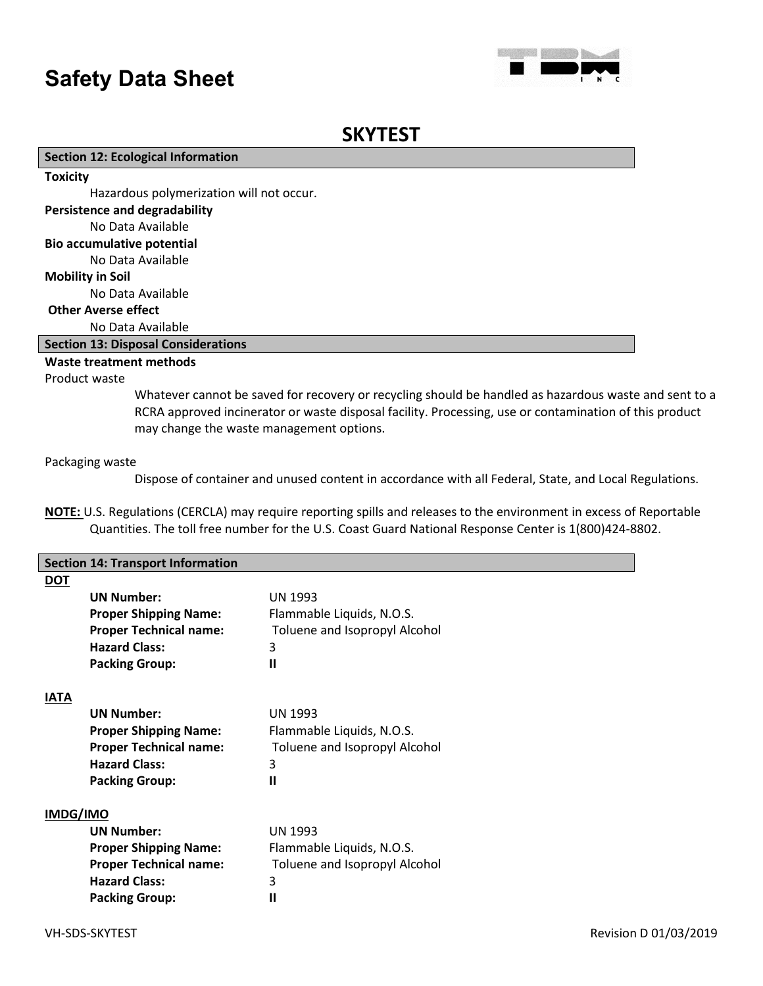

### **SKYTEST**

#### **Section 12: Ecological Information**

**Toxicity**

Hazardous polymerization will not occur.

#### **Persistence and degradability**

No Data Available

#### **Bio accumulative potential**

No Data Available

#### **Mobility in Soil**

No Data Available

#### **Other Averse effect**

No Data Available

#### **Section 13: Disposal Considerations**

#### **Waste treatment methods**

#### Product waste

Whatever cannot be saved for recovery or recycling should be handled as hazardous waste and sent to a RCRA approved incinerator or waste disposal facility. Processing, use or contamination of this product may change the waste management options.

#### Packaging waste

Dispose of container and unused content in accordance with all Federal, State, and Local Regulations.

**NOTE:** U.S. Regulations (CERCLA) may require reporting spills and releases to the environment in excess of Reportable Quantities. The toll free number for the U.S. Coast Guard National Response Center is 1(800)424-8802.

|                 | <b>Section 14: Transport Information</b> |                               |
|-----------------|------------------------------------------|-------------------------------|
| <b>DOT</b>      |                                          |                               |
|                 | <b>UN Number:</b>                        | <b>UN 1993</b>                |
|                 | <b>Proper Shipping Name:</b>             | Flammable Liquids, N.O.S.     |
|                 | <b>Proper Technical name:</b>            | Toluene and Isopropyl Alcohol |
|                 | <b>Hazard Class:</b>                     | 3                             |
|                 | <b>Packing Group:</b>                    | Ш                             |
|                 |                                          |                               |
| <b>IATA</b>     |                                          |                               |
|                 | <b>UN Number:</b>                        | <b>UN 1993</b>                |
|                 | <b>Proper Shipping Name:</b>             | Flammable Liquids, N.O.S.     |
|                 | <b>Proper Technical name:</b>            | Toluene and Isopropyl Alcohol |
|                 | <b>Hazard Class:</b>                     | 3                             |
|                 | <b>Packing Group:</b>                    | Ш                             |
|                 |                                          |                               |
| <b>IMDG/IMO</b> |                                          |                               |
|                 | <b>UN Number:</b>                        | <b>UN 1993</b>                |
|                 | <b>Proper Shipping Name:</b>             | Flammable Liquids, N.O.S.     |
|                 | <b>Proper Technical name:</b>            | Toluene and Isopropyl Alcohol |
|                 | <b>Hazard Class:</b>                     | 3                             |
|                 | <b>Packing Group:</b>                    | $\mathbf{I}$                  |
|                 |                                          |                               |